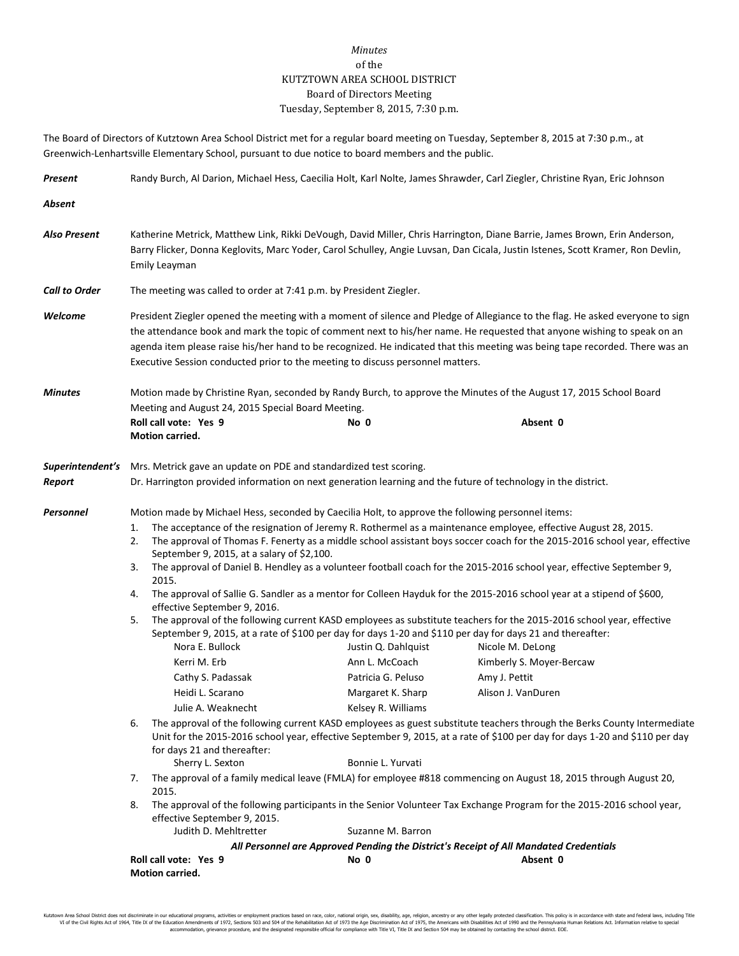## *Minutes* of the KUTZTOWN AREA SCHOOL DISTRICT Board of Directors Meeting Tuesday, September 8, 2015, 7:30 p.m.

The Board of Directors of Kutztown Area School District met for a regular board meeting on Tuesday, September 8, 2015 at 7:30 p.m., at Greenwich-Lenhartsville Elementary School, pursuant to due notice to board members and the public.

| Present                    | Randy Burch, Al Darion, Michael Hess, Caecilia Holt, Karl Nolte, James Shrawder, Carl Ziegler, Christine Ryan, Eric Johnson                                                                                                                                                                                                                                                                                                                                                |                                                                                                                                                                                |                                                                                                                                                                                                                                                       |                                                                                                                                                                                                                                                                                                                                                                                                                                                                                                                                                                                                                                                                                                                                                                                                                                                                                                                                                                                                                                                                                                                                                                                                                                                                                                                                                                                                                            |  |  |
|----------------------------|----------------------------------------------------------------------------------------------------------------------------------------------------------------------------------------------------------------------------------------------------------------------------------------------------------------------------------------------------------------------------------------------------------------------------------------------------------------------------|--------------------------------------------------------------------------------------------------------------------------------------------------------------------------------|-------------------------------------------------------------------------------------------------------------------------------------------------------------------------------------------------------------------------------------------------------|----------------------------------------------------------------------------------------------------------------------------------------------------------------------------------------------------------------------------------------------------------------------------------------------------------------------------------------------------------------------------------------------------------------------------------------------------------------------------------------------------------------------------------------------------------------------------------------------------------------------------------------------------------------------------------------------------------------------------------------------------------------------------------------------------------------------------------------------------------------------------------------------------------------------------------------------------------------------------------------------------------------------------------------------------------------------------------------------------------------------------------------------------------------------------------------------------------------------------------------------------------------------------------------------------------------------------------------------------------------------------------------------------------------------------|--|--|
| Absent                     |                                                                                                                                                                                                                                                                                                                                                                                                                                                                            |                                                                                                                                                                                |                                                                                                                                                                                                                                                       |                                                                                                                                                                                                                                                                                                                                                                                                                                                                                                                                                                                                                                                                                                                                                                                                                                                                                                                                                                                                                                                                                                                                                                                                                                                                                                                                                                                                                            |  |  |
| Also Present               | Katherine Metrick, Matthew Link, Rikki DeVough, David Miller, Chris Harrington, Diane Barrie, James Brown, Erin Anderson,<br>Barry Flicker, Donna Keglovits, Marc Yoder, Carol Schulley, Angie Luvsan, Dan Cicala, Justin Istenes, Scott Kramer, Ron Devlin,<br>Emily Leayman                                                                                                                                                                                              |                                                                                                                                                                                |                                                                                                                                                                                                                                                       |                                                                                                                                                                                                                                                                                                                                                                                                                                                                                                                                                                                                                                                                                                                                                                                                                                                                                                                                                                                                                                                                                                                                                                                                                                                                                                                                                                                                                            |  |  |
| <b>Call to Order</b>       | The meeting was called to order at 7:41 p.m. by President Ziegler.                                                                                                                                                                                                                                                                                                                                                                                                         |                                                                                                                                                                                |                                                                                                                                                                                                                                                       |                                                                                                                                                                                                                                                                                                                                                                                                                                                                                                                                                                                                                                                                                                                                                                                                                                                                                                                                                                                                                                                                                                                                                                                                                                                                                                                                                                                                                            |  |  |
| Welcome                    | President Ziegler opened the meeting with a moment of silence and Pledge of Allegiance to the flag. He asked everyone to sign<br>the attendance book and mark the topic of comment next to his/her name. He requested that anyone wishing to speak on an<br>agenda item please raise his/her hand to be recognized. He indicated that this meeting was being tape recorded. There was an<br>Executive Session conducted prior to the meeting to discuss personnel matters. |                                                                                                                                                                                |                                                                                                                                                                                                                                                       |                                                                                                                                                                                                                                                                                                                                                                                                                                                                                                                                                                                                                                                                                                                                                                                                                                                                                                                                                                                                                                                                                                                                                                                                                                                                                                                                                                                                                            |  |  |
| <b>Minutes</b>             | Motion made by Christine Ryan, seconded by Randy Burch, to approve the Minutes of the August 17, 2015 School Board<br>Meeting and August 24, 2015 Special Board Meeting.                                                                                                                                                                                                                                                                                                   |                                                                                                                                                                                |                                                                                                                                                                                                                                                       |                                                                                                                                                                                                                                                                                                                                                                                                                                                                                                                                                                                                                                                                                                                                                                                                                                                                                                                                                                                                                                                                                                                                                                                                                                                                                                                                                                                                                            |  |  |
|                            | Roll call vote: Yes 9<br><b>Motion carried.</b>                                                                                                                                                                                                                                                                                                                                                                                                                            |                                                                                                                                                                                | No 0                                                                                                                                                                                                                                                  | Absent 0                                                                                                                                                                                                                                                                                                                                                                                                                                                                                                                                                                                                                                                                                                                                                                                                                                                                                                                                                                                                                                                                                                                                                                                                                                                                                                                                                                                                                   |  |  |
| Superintendent's<br>Report | Mrs. Metrick gave an update on PDE and standardized test scoring.<br>Dr. Harrington provided information on next generation learning and the future of technology in the district.                                                                                                                                                                                                                                                                                         |                                                                                                                                                                                |                                                                                                                                                                                                                                                       |                                                                                                                                                                                                                                                                                                                                                                                                                                                                                                                                                                                                                                                                                                                                                                                                                                                                                                                                                                                                                                                                                                                                                                                                                                                                                                                                                                                                                            |  |  |
| Personnel                  | 1.<br>2.<br>3.<br>2015.<br>4.<br>5.<br>Nora E. Bullock<br>Kerri M. Erb<br>Heidi L. Scarano<br>6.<br>for days 21 and thereafter:<br>Sherry L. Sexton<br>7.<br>2015.<br>8.                                                                                                                                                                                                                                                                                                   | September 9, 2015, at a salary of \$2,100.<br>effective September 9, 2016.<br>Cathy S. Padassak<br>Julie A. Weaknecht<br>effective September 9, 2015.<br>Judith D. Mehltretter | Motion made by Michael Hess, seconded by Caecilia Holt, to approve the following personnel items:<br>Justin Q. Dahlquist<br>Ann L. McCoach<br>Patricia G. Peluso<br>Margaret K. Sharp<br>Kelsey R. Williams<br>Bonnie L. Yurvati<br>Suzanne M. Barron | The acceptance of the resignation of Jeremy R. Rothermel as a maintenance employee, effective August 28, 2015.<br>The approval of Thomas F. Fenerty as a middle school assistant boys soccer coach for the 2015-2016 school year, effective<br>The approval of Daniel B. Hendley as a volunteer football coach for the 2015-2016 school year, effective September 9,<br>The approval of Sallie G. Sandler as a mentor for Colleen Hayduk for the 2015-2016 school year at a stipend of \$600,<br>The approval of the following current KASD employees as substitute teachers for the 2015-2016 school year, effective<br>September 9, 2015, at a rate of \$100 per day for days 1-20 and \$110 per day for days 21 and thereafter:<br>Nicole M. DeLong<br>Kimberly S. Moyer-Bercaw<br>Amy J. Pettit<br>Alison J. VanDuren<br>The approval of the following current KASD employees as guest substitute teachers through the Berks County Intermediate<br>Unit for the 2015-2016 school year, effective September 9, 2015, at a rate of \$100 per day for days 1-20 and \$110 per day<br>The approval of a family medical leave (FMLA) for employee #818 commencing on August 18, 2015 through August 20,<br>The approval of the following participants in the Senior Volunteer Tax Exchange Program for the 2015-2016 school year,<br>All Personnel are Approved Pending the District's Receipt of All Mandated Credentials |  |  |
|                            | Roll call vote: Yes 9<br>No 0<br>Absent 0<br>Motion carried.                                                                                                                                                                                                                                                                                                                                                                                                               |                                                                                                                                                                                |                                                                                                                                                                                                                                                       |                                                                                                                                                                                                                                                                                                                                                                                                                                                                                                                                                                                                                                                                                                                                                                                                                                                                                                                                                                                                                                                                                                                                                                                                                                                                                                                                                                                                                            |  |  |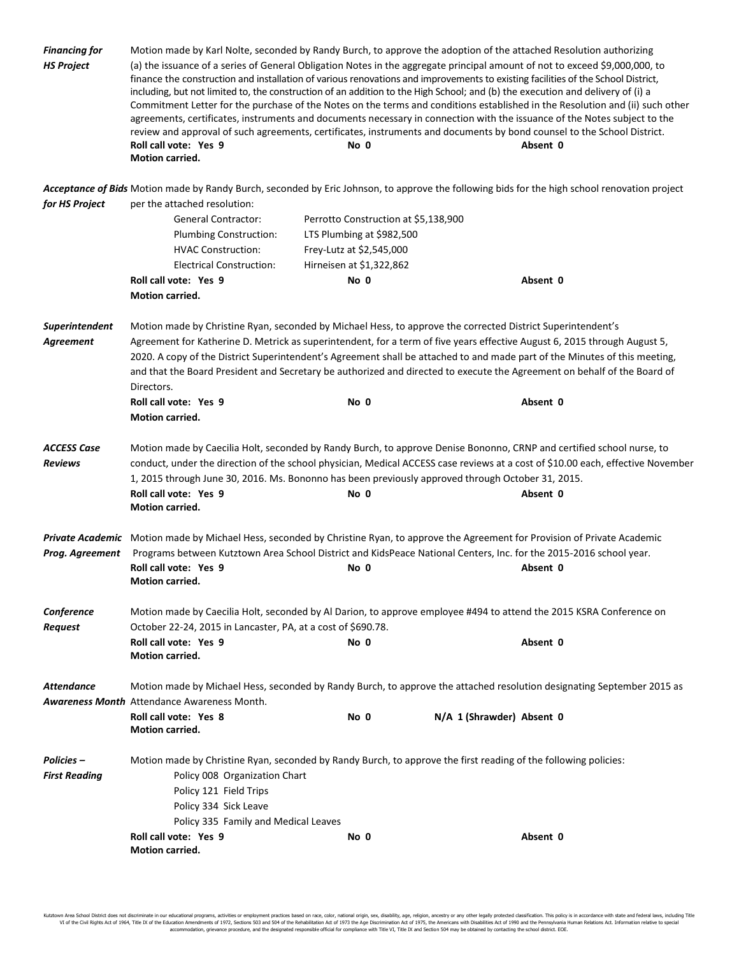| <b>Financing for</b><br><b>HS Project</b> | Motion made by Karl Nolte, seconded by Randy Burch, to approve the adoption of the attached Resolution authorizing<br>(a) the issuance of a series of General Obligation Notes in the aggregate principal amount of not to exceed \$9,000,000, to<br>finance the construction and installation of various renovations and improvements to existing facilities of the School District,<br>including, but not limited to, the construction of an addition to the High School; and (b) the execution and delivery of (i) a<br>Commitment Letter for the purchase of the Notes on the terms and conditions established in the Resolution and (ii) such other<br>agreements, certificates, instruments and documents necessary in connection with the issuance of the Notes subject to the<br>review and approval of such agreements, certificates, instruments and documents by bond counsel to the School District.<br>Roll call vote: Yes 9<br>No 0<br>Absent 0<br>Motion carried. |                           |                                                                                                                                               |  |  |  |
|-------------------------------------------|----------------------------------------------------------------------------------------------------------------------------------------------------------------------------------------------------------------------------------------------------------------------------------------------------------------------------------------------------------------------------------------------------------------------------------------------------------------------------------------------------------------------------------------------------------------------------------------------------------------------------------------------------------------------------------------------------------------------------------------------------------------------------------------------------------------------------------------------------------------------------------------------------------------------------------------------------------------------------------|---------------------------|-----------------------------------------------------------------------------------------------------------------------------------------------|--|--|--|
|                                           |                                                                                                                                                                                                                                                                                                                                                                                                                                                                                                                                                                                                                                                                                                                                                                                                                                                                                                                                                                                  |                           | Acceptance of Bids Motion made by Randy Burch, seconded by Eric Johnson, to approve the following bids for the high school renovation project |  |  |  |
| for HS Project                            | per the attached resolution:                                                                                                                                                                                                                                                                                                                                                                                                                                                                                                                                                                                                                                                                                                                                                                                                                                                                                                                                                     |                           |                                                                                                                                               |  |  |  |
|                                           | <b>General Contractor:</b>                                                                                                                                                                                                                                                                                                                                                                                                                                                                                                                                                                                                                                                                                                                                                                                                                                                                                                                                                       |                           | Perrotto Construction at \$5,138,900                                                                                                          |  |  |  |
|                                           | <b>Plumbing Construction:</b>                                                                                                                                                                                                                                                                                                                                                                                                                                                                                                                                                                                                                                                                                                                                                                                                                                                                                                                                                    | LTS Plumbing at \$982,500 |                                                                                                                                               |  |  |  |
|                                           | <b>HVAC Construction:</b>                                                                                                                                                                                                                                                                                                                                                                                                                                                                                                                                                                                                                                                                                                                                                                                                                                                                                                                                                        | Frey-Lutz at \$2,545,000  |                                                                                                                                               |  |  |  |
|                                           | <b>Electrical Construction:</b>                                                                                                                                                                                                                                                                                                                                                                                                                                                                                                                                                                                                                                                                                                                                                                                                                                                                                                                                                  | Hirneisen at \$1,322,862  |                                                                                                                                               |  |  |  |
|                                           | Roll call vote: Yes 9                                                                                                                                                                                                                                                                                                                                                                                                                                                                                                                                                                                                                                                                                                                                                                                                                                                                                                                                                            | No 0                      | Absent 0                                                                                                                                      |  |  |  |
|                                           | Motion carried.                                                                                                                                                                                                                                                                                                                                                                                                                                                                                                                                                                                                                                                                                                                                                                                                                                                                                                                                                                  |                           |                                                                                                                                               |  |  |  |
| Superintendent<br>Agreement               | Motion made by Christine Ryan, seconded by Michael Hess, to approve the corrected District Superintendent's<br>Agreement for Katherine D. Metrick as superintendent, for a term of five years effective August 6, 2015 through August 5,<br>2020. A copy of the District Superintendent's Agreement shall be attached to and made part of the Minutes of this meeting,<br>and that the Board President and Secretary be authorized and directed to execute the Agreement on behalf of the Board of<br>Directors.<br>Roll call vote: Yes 9<br>No 0<br>Absent 0<br>Motion carried.                                                                                                                                                                                                                                                                                                                                                                                                 |                           |                                                                                                                                               |  |  |  |
| <b>ACCESS Case</b><br><b>Reviews</b>      | Motion made by Caecilia Holt, seconded by Randy Burch, to approve Denise Bononno, CRNP and certified school nurse, to<br>conduct, under the direction of the school physician, Medical ACCESS case reviews at a cost of \$10.00 each, effective November<br>1, 2015 through June 30, 2016. Ms. Bononno has been previously approved through October 31, 2015.<br>Roll call vote: Yes 9<br>No 0<br>Absent 0<br><b>Motion carried.</b>                                                                                                                                                                                                                                                                                                                                                                                                                                                                                                                                             |                           |                                                                                                                                               |  |  |  |
|                                           | Private Academic Motion made by Michael Hess, seconded by Christine Ryan, to approve the Agreement for Provision of Private Academic                                                                                                                                                                                                                                                                                                                                                                                                                                                                                                                                                                                                                                                                                                                                                                                                                                             |                           |                                                                                                                                               |  |  |  |
| Prog. Agreement                           | Programs between Kutztown Area School District and KidsPeace National Centers, Inc. for the 2015-2016 school year.                                                                                                                                                                                                                                                                                                                                                                                                                                                                                                                                                                                                                                                                                                                                                                                                                                                               |                           |                                                                                                                                               |  |  |  |
|                                           | Roll call vote: Yes 9<br><b>Motion carried.</b>                                                                                                                                                                                                                                                                                                                                                                                                                                                                                                                                                                                                                                                                                                                                                                                                                                                                                                                                  | No 0                      | Absent 0                                                                                                                                      |  |  |  |
| Conference<br>Request                     | Motion made by Caecilia Holt, seconded by Al Darion, to approve employee #494 to attend the 2015 KSRA Conference on<br>October 22-24, 2015 in Lancaster, PA, at a cost of \$690.78.                                                                                                                                                                                                                                                                                                                                                                                                                                                                                                                                                                                                                                                                                                                                                                                              |                           |                                                                                                                                               |  |  |  |
|                                           | Roll call vote: Yes 9<br>Motion carried.                                                                                                                                                                                                                                                                                                                                                                                                                                                                                                                                                                                                                                                                                                                                                                                                                                                                                                                                         | No 0                      | Absent 0                                                                                                                                      |  |  |  |
| <b>Attendance</b>                         | Motion made by Michael Hess, seconded by Randy Burch, to approve the attached resolution designating September 2015 as<br><b>Awareness Month</b> Attendance Awareness Month.                                                                                                                                                                                                                                                                                                                                                                                                                                                                                                                                                                                                                                                                                                                                                                                                     |                           |                                                                                                                                               |  |  |  |
|                                           | Roll call vote: Yes 8<br>Motion carried.                                                                                                                                                                                                                                                                                                                                                                                                                                                                                                                                                                                                                                                                                                                                                                                                                                                                                                                                         | No 0                      | N/A 1 (Shrawder) Absent 0                                                                                                                     |  |  |  |
| Policies –<br><b>First Reading</b>        | Motion made by Christine Ryan, seconded by Randy Burch, to approve the first reading of the following policies:<br>Policy 008 Organization Chart<br>Policy 121 Field Trips<br>Policy 334 Sick Leave<br>Policy 335 Family and Medical Leaves                                                                                                                                                                                                                                                                                                                                                                                                                                                                                                                                                                                                                                                                                                                                      |                           |                                                                                                                                               |  |  |  |
|                                           | Roll call vote: Yes 9<br>Motion carried.                                                                                                                                                                                                                                                                                                                                                                                                                                                                                                                                                                                                                                                                                                                                                                                                                                                                                                                                         | No 0                      | Absent 0                                                                                                                                      |  |  |  |

Kutztown Area School District does not discriminate in our educational programs, activities or employment practices based on race, color, national origin, sex, disability, age, religion, ancestry or any other legally prot